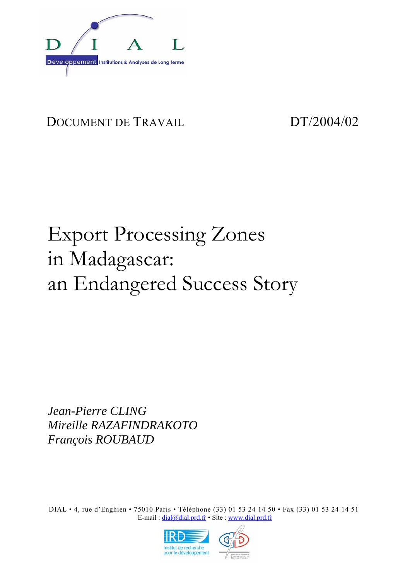

# DOCUMENT DE TRAVAIL DT/2004/02

# Export Processing Zones in Madagascar: an Endangered Success Story

*Jean-Pierre CLING Mireille RAZAFINDRAKOTO François ROUBAUD* 

DIAL • 4, rue d'Enghien • 75010 Paris • Téléphone (33) 01 53 24 14 50 • Fax (33) 01 53 24 14 51 E-mail : dial@dial.prd.fr • Site : www.dial.prd.fr

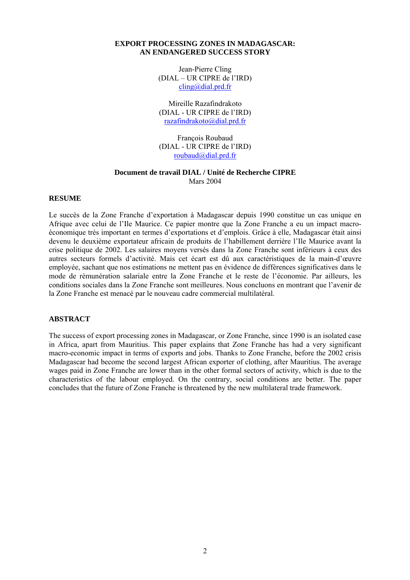# **EXPORT PROCESSING ZONES IN MADAGASCAR: AN ENDANGERED SUCCESS STORY**

Jean-Pierre Cling (DIAL – UR CIPRE de l'IRD) cling@dial.prd.fr

Mireille Razafindrakoto (DIAL - UR CIPRE de l'IRD) razafindrakoto@dial.prd.fr

François Roubaud (DIAL - UR CIPRE de l'IRD) roubaud@dial.prd.fr

## **Document de travail DIAL / Unité de Recherche CIPRE**  Mars 2004

## **RESUME**

Le succès de la Zone Franche d'exportation à Madagascar depuis 1990 constitue un cas unique en Afrique avec celui de l'Ile Maurice. Ce papier montre que la Zone Franche a eu un impact macroéconomique très important en termes d'exportations et d'emplois. Grâce à elle, Madagascar était ainsi devenu le deuxième exportateur africain de produits de l'habillement derrière l'Ile Maurice avant la crise politique de 2002. Les salaires moyens versés dans la Zone Franche sont inférieurs à ceux des autres secteurs formels d'activité. Mais cet écart est dû aux caractéristiques de la main-d'œuvre employée, sachant que nos estimations ne mettent pas en évidence de différences significatives dans le mode de rémunération salariale entre la Zone Franche et le reste de l'économie. Par ailleurs, les conditions sociales dans la Zone Franche sont meilleures. Nous concluons en montrant que l'avenir de la Zone Franche est menacé par le nouveau cadre commercial multilatéral.

#### **ABSTRACT**

The success of export processing zones in Madagascar, or Zone Franche, since 1990 is an isolated case in Africa, apart from Mauritius. This paper explains that Zone Franche has had a very significant macro-economic impact in terms of exports and jobs. Thanks to Zone Franche, before the 2002 crisis Madagascar had become the second largest African exporter of clothing, after Mauritius. The average wages paid in Zone Franche are lower than in the other formal sectors of activity, which is due to the characteristics of the labour employed. On the contrary, social conditions are better. The paper concludes that the future of Zone Franche is threatened by the new multilateral trade framework.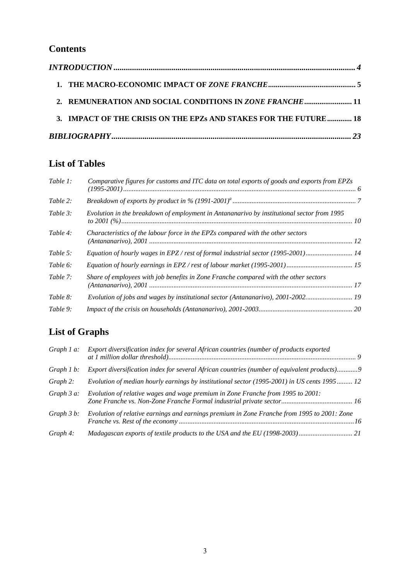# **Contents**

| 2. REMUNERATION AND SOCIAL CONDITIONS IN ZONE FRANCHE  11        |  |
|------------------------------------------------------------------|--|
| 3. IMPACT OF THE CRISIS ON THE EPZs AND STAKES FOR THE FUTURE 18 |  |
|                                                                  |  |

# **List of Tables**

| Table 1: | Comparative figures for customs and ITC data on total exports of goods and exports from EPZs |  |
|----------|----------------------------------------------------------------------------------------------|--|
| Table 2: |                                                                                              |  |
| Table 3: | Evolution in the breakdown of employment in Antananarivo by institutional sector from 1995   |  |
| Table 4: | Characteristics of the labour force in the EPZs compared with the other sectors              |  |
| Table 5: | Equation of hourly wages in EPZ / rest of formal industrial sector (1995-2001) 14            |  |
| Table 6: |                                                                                              |  |
| Table 7: | Share of employees with job benefits in Zone Franche compared with the other sectors         |  |
| Table 8: | Evolution of jobs and wages by institutional sector (Antananarivo), 2001-2002 19             |  |
| Table 9: |                                                                                              |  |

# **List of Graphs**

| Graph $1$ a:  | Export diversification index for several African countries (number of products exported     |
|---------------|---------------------------------------------------------------------------------------------|
| Graph $1 b$ : | Export diversification index for several African countries (number of equivalent products)9 |
| Graph 2:      | Evolution of median hourly earnings by institutional sector (1995-2001) in US cents 1995 12 |
| Graph $3a$ :  | Evolution of relative wages and wage premium in Zone Franche from 1995 to 2001:             |
| Graph $3 b$ : | Evolution of relative earnings and earnings premium in Zone Franche from 1995 to 2001: Zone |
| Graph 4:      |                                                                                             |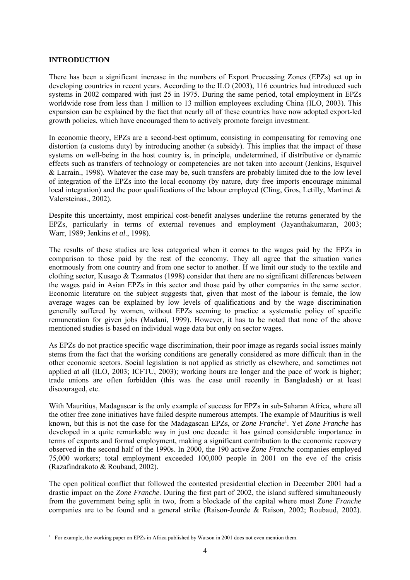# **INTRODUCTION**

There has been a significant increase in the numbers of Export Processing Zones (EPZs) set up in developing countries in recent years. According to the ILO (2003), 116 countries had introduced such systems in 2002 compared with just 25 in 1975. During the same period, total employment in EPZs worldwide rose from less than 1 million to 13 million employees excluding China (ILO, 2003). This expansion can be explained by the fact that nearly all of these countries have now adopted export-led growth policies, which have encouraged them to actively promote foreign investment.

In economic theory, EPZs are a second-best optimum, consisting in compensating for removing one distortion (a customs duty) by introducing another (a subsidy). This implies that the impact of these systems on well-being in the host country is, in principle, undetermined, if distributive or dynamic effects such as transfers of technology or competencies are not taken into account (Jenkins, Esquivel & Larrain*.*, 1998). Whatever the case may be, such transfers are probably limited due to the low level of integration of the EPZs into the local economy (by nature, duty free imports encourage minimal local integration) and the poor qualifications of the labour employed (Cling, Gros, Letilly, Martinet & Valersteinas., 2002).

Despite this uncertainty, most empirical cost-benefit analyses underline the returns generated by the EPZs, particularly in terms of external revenues and employment (Jayanthakumaran, 2003; Warr, 1989; Jenkins *et al*., 1998).

The results of these studies are less categorical when it comes to the wages paid by the EPZs in comparison to those paid by the rest of the economy. They all agree that the situation varies enormously from one country and from one sector to another. If we limit our study to the textile and clothing sector, Kusago & Tzannatos (1998) consider that there are no significant differences between the wages paid in Asian EPZs in this sector and those paid by other companies in the same sector. Economic literature on the subject suggests that, given that most of the labour is female, the low average wages can be explained by low levels of qualifications and by the wage discrimination generally suffered by women, without EPZs seeming to practice a systematic policy of specific remuneration for given jobs (Madani, 1999). However, it has to be noted that none of the above mentioned studies is based on individual wage data but only on sector wages.

As EPZs do not practice specific wage discrimination, their poor image as regards social issues mainly stems from the fact that the working conditions are generally considered as more difficult than in the other economic sectors. Social legislation is not applied as strictly as elsewhere, and sometimes not applied at all (ILO, 2003; ICFTU, 2003); working hours are longer and the pace of work is higher; trade unions are often forbidden (this was the case until recently in Bangladesh) or at least discouraged, etc.

With Mauritius, Madagascar is the only example of success for EPZs in sub-Saharan Africa, where all the other free zone initiatives have failed despite numerous attempts. The example of Mauritius is well known, but this is not the case for the Madagascan EPZs, or *Zone Franche*<sup>1</sup> . Yet *Zone Franche* has developed in a quite remarkable way in just one decade: it has gained considerable importance in terms of exports and formal employment, making a significant contribution to the economic recovery observed in the second half of the 1990s. In 2000, the 190 active *Zone Franche* companies employed 75,000 workers; total employment exceeded 100,000 people in 2001 on the eve of the crisis (Razafindrakoto & Roubaud, 2002).

The open political conflict that followed the contested presidential election in December 2001 had a drastic impact on the *Zone Franche*. During the first part of 2002, the island suffered simultaneously from the government being split in two, from a blockade of the capital where most *Zone Franche* companies are to be found and a general strike (Raison-Jourde & Raison, 2002; Roubaud, 2002).

<sup>&</sup>lt;sup>1</sup> For example, the working paper on EPZs in Africa published by Watson in 2001 does not even mention them.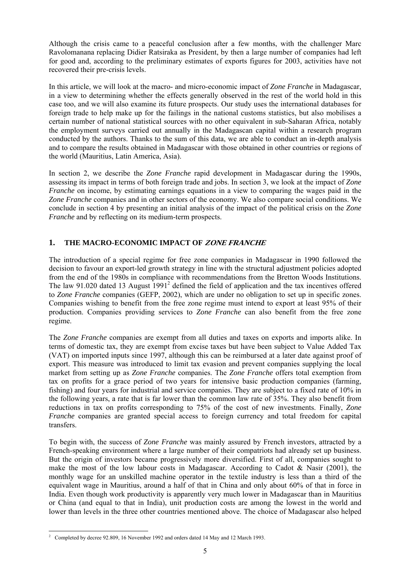Although the crisis came to a peaceful conclusion after a few months, with the challenger Marc Ravolomanana replacing Didier Ratsiraka as President, by then a large number of companies had left for good and, according to the preliminary estimates of exports figures for 2003, activities have not recovered their pre-crisis levels.

In this article, we will look at the macro- and micro-economic impact of *Zone Franche* in Madagascar, in a view to determining whether the effects generally observed in the rest of the world hold in this case too, and we will also examine its future prospects. Our study uses the international databases for foreign trade to help make up for the failings in the national customs statistics, but also mobilises a certain number of national statistical sources with no other equivalent in sub-Saharan Africa, notably the employment surveys carried out annually in the Madagascan capital within a research program conducted by the authors. Thanks to the sum of this data, we are able to conduct an in-depth analysis and to compare the results obtained in Madagascar with those obtained in other countries or regions of the world (Mauritius, Latin America, Asia).

In section 2, we describe the *Zone Franche* rapid development in Madagascar during the 1990s, assessing its impact in terms of both foreign trade and jobs. In section 3, we look at the impact of *Zone Franche* on income, by estimating earnings equations in a view to comparing the wages paid in the *Zone Franche* companies and in other sectors of the economy. We also compare social conditions. We conclude in section 4 by presenting an initial analysis of the impact of the political crisis on the *Zone Franche* and by reflecting on its medium-term prospects.

# **1. THE MACRO-ECONOMIC IMPACT OF ZONE FRANCHE**

The introduction of a special regime for free zone companies in Madagascar in 1990 followed the decision to favour an export-led growth strategy in line with the structural adjustment policies adopted from the end of the 1980s in compliance with recommendations from the Bretton Woods Institutions. The law 91.020 dated 13 August  $1991<sup>2</sup>$  defined the field of application and the tax incentives offered to *Zone Franche* companies (GEFP, 2002), which are under no obligation to set up in specific zones. Companies wishing to benefit from the free zone regime must intend to export at least 95% of their production. Companies providing services to *Zone Franche* can also benefit from the free zone regime.

The *Zone Franche* companies are exempt from all duties and taxes on exports and imports alike. In terms of domestic tax, they are exempt from excise taxes but have been subject to Value Added Tax (VAT) on imported inputs since 1997, although this can be reimbursed at a later date against proof of export. This measure was introduced to limit tax evasion and prevent companies supplying the local market from setting up as *Zone Franche* companies. The *Zone Franche* offers total exemption from tax on profits for a grace period of two years for intensive basic production companies (farming, fishing) and four years for industrial and service companies. They are subject to a fixed rate of 10% in the following years, a rate that is far lower than the common law rate of 35%. They also benefit from reductions in tax on profits corresponding to 75% of the cost of new investments. Finally, *Zone Franche* companies are granted special access to foreign currency and total freedom for capital transfers.

To begin with, the success of *Zone Franche* was mainly assured by French investors, attracted by a French-speaking environment where a large number of their compatriots had already set up business. But the origin of investors became progressively more diversified. First of all, companies sought to make the most of the low labour costs in Madagascar. According to Cadot  $\&$  Nasir (2001), the monthly wage for an unskilled machine operator in the textile industry is less than a third of the equivalent wage in Mauritius, around a half of that in China and only about 60% of that in force in India. Even though work productivity is apparently very much lower in Madagascar than in Mauritius or China (and equal to that in India), unit production costs are among the lowest in the world and lower than levels in the three other countries mentioned above. The choice of Madagascar also helped

 2 Completed by decree 92.809, 16 November 1992 and orders dated 14 May and 12 March 1993.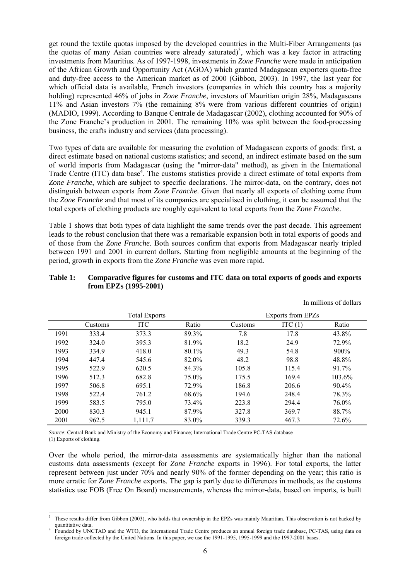get round the textile quotas imposed by the developed countries in the Multi-Fiber Arrangements (as the quotas of many Asian countries were already saturated)<sup>3</sup>, which was a key factor in attracting investments from Mauritius. As of 1997-1998, investments in *Zone Franche* were made in anticipation of the African Growth and Opportunity Act (AGOA) which granted Madagascan exporters quota-free and duty-free access to the American market as of 2000 (Gibbon, 2003). In 1997, the last year for which official data is available, French investors (companies in which this country has a majority holding) represented 46% of jobs in *Zone Franche*, investors of Mauritian origin 28%, Madagascans 11% and Asian investors 7% (the remaining 8% were from various different countries of origin) (MADIO, 1999). According to Banque Centrale de Madagascar (2002), clothing accounted for 90% of the Zone Franche's production in 2001. The remaining 10% was split between the food-processing business, the crafts industry and services (data processing).

Two types of data are available for measuring the evolution of Madagascan exports of goods: first, a direct estimate based on national customs statistics; and second, an indirect estimate based on the sum of world imports from Madagascar (using the "mirror-data" method), as given in the International Trade Centre (ITC) data base<sup> $\overline{4}$ </sup>. The customs statistics provide a direct estimate of total exports from *Zone Franche*, which are subject to specific declarations. The mirror-data, on the contrary, does not distinguish between exports from *Zone Franche*. Given that nearly all exports of clothing come from the *Zone Franche* and that most of its companies are specialised in clothing, it can be assumed that the total exports of clothing products are roughly equivalent to total exports from the *Zone Franche*.

Table 1 shows that both types of data highlight the same trends over the past decade. This agreement leads to the robust conclusion that there was a remarkable expansion both in total exports of goods and of those from the *Zone Franche*. Both sources confirm that exports from Madagascar nearly tripled between 1991 and 2001 in current dollars. Starting from negligible amounts at the beginning of the period, growth in exports from the *Zone Franche* was even more rapid.

# **Table 1: Comparative figures for customs and ITC data on total exports of goods and exports from EPZs (1995-2001)**

|      |         | <b>Total Exports</b> |       |         | Exports from EPZs |        |
|------|---------|----------------------|-------|---------|-------------------|--------|
|      | Customs | <b>ITC</b>           | Ratio | Customs | ITC $(1)$         | Ratio  |
| 1991 | 333.4   | 373.3                | 89.3% | 7.8     | 17.8              | 43.8%  |
| 1992 | 324.0   | 395.3                | 81.9% | 18.2    | 24.9              | 72.9%  |
| 1993 | 334.9   | 418.0                | 80.1% | 49.3    | 54.8              | 900%   |
| 1994 | 447.4   | 545.6                | 82.0% | 48.2    | 98.8              | 48.8%  |
| 1995 | 522.9   | 620.5                | 84.3% | 105.8   | 115.4             | 91.7%  |
| 1996 | 512.3   | 682.8                | 75.0% | 175.5   | 169.4             | 103.6% |
| 1997 | 506.8   | 695.1                | 72.9% | 186.8   | 206.6             | 90.4%  |
| 1998 | 522.4   | 761.2                | 68.6% | 194.6   | 248.4             | 78.3%  |
| 1999 | 583.5   | 795.0                | 73.4% | 223.8   | 294.4             | 76.0%  |
| 2000 | 830.3   | 945.1                | 87.9% | 327.8   | 369.7             | 88.7%  |
| 2001 | 962.5   | 1,111.7              | 83.0% | 339.3   | 467.3             | 72.6%  |

In millions of dollars

*Source*: Central Bank and Ministry of the Economy and Finance; International Trade Centre PC-TAS database

(1) Exports of clothing.

Over the whole period, the mirror-data assessments are systematically higher than the national customs data assessments (except for *Zone Franche* exports in 1996). For total exports, the latter represent between just under 70% and nearly 90% of the former depending on the year; this ratio is more erratic for *Zone Franche* exports. The gap is partly due to differences in methods, as the customs statistics use FOB (Free On Board) measurements, whereas the mirror-data, based on imports, is built

l 3 These results differ from Gibbon (2003), who holds that ownership in the EPZs was mainly Mauritian. This observation is not backed by quantitative data. 4

Founded by UNCTAD and the WTO, the International Trade Centre produces an annual foreign trade database, PC-TAS, using data on foreign trade collected by the United Nations. In this paper, we use the 1991-1995, 1995-1999 and the 1997-2001 bases.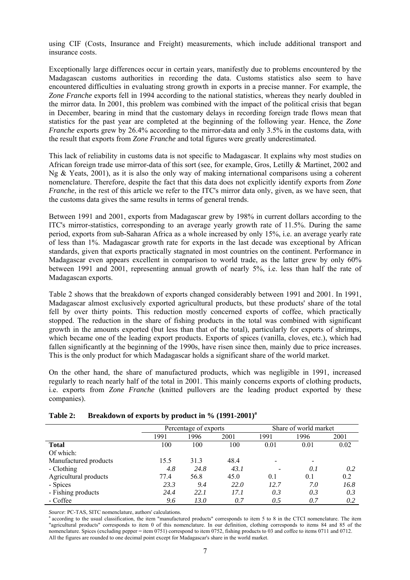using CIF (Costs, Insurance and Freight) measurements, which include additional transport and insurance costs.

Exceptionally large differences occur in certain years, manifestly due to problems encountered by the Madagascan customs authorities in recording the data. Customs statistics also seem to have encountered difficulties in evaluating strong growth in exports in a precise manner. For example, the *Zone Franche* exports fell in 1994 according to the national statistics, whereas they nearly doubled in the mirror data. In 2001, this problem was combined with the impact of the political crisis that began in December, bearing in mind that the customary delays in recording foreign trade flows mean that statistics for the past year are completed at the beginning of the following year. Hence, the *Zone Franche* exports grew by 26.4% according to the mirror-data and only 3.5% in the customs data, with the result that exports from *Zone Franche* and total figures were greatly underestimated.

This lack of reliability in customs data is not specific to Madagascar. It explains why most studies on African foreign trade use mirror-data of this sort (see, for example, Gros, Letilly & Martinet, 2002 and Ng & Yeats, 2001), as it is also the only way of making international comparisons using a coherent nomenclature. Therefore, despite the fact that this data does not explicitly identify exports from *Zone Franche*, in the rest of this article we refer to the ITC's mirror data only, given, as we have seen, that the customs data gives the same results in terms of general trends.

Between 1991 and 2001, exports from Madagascar grew by 198% in current dollars according to the ITC's mirror-statistics, corresponding to an average yearly growth rate of 11.5%. During the same period, exports from sub-Saharan Africa as a whole increased by only 15%, i.e. an average yearly rate of less than 1%. Madagascar growth rate for exports in the last decade was exceptional by African standards, given that exports practically stagnated in most countries on the continent. Performance in Madagascar even appears excellent in comparison to world trade, as the latter grew by only 60% between 1991 and 2001, representing annual growth of nearly 5%, i.e. less than half the rate of Madagascan exports.

Table 2 shows that the breakdown of exports changed considerably between 1991 and 2001. In 1991, Madagascar almost exclusively exported agricultural products, but these products' share of the total fell by over thirty points. This reduction mostly concerned exports of coffee, which practically stopped. The reduction in the share of fishing products in the total was combined with significant growth in the amounts exported (but less than that of the total), particularly for exports of shrimps, which became one of the leading export products. Exports of spices (vanilla, cloves, etc.), which had fallen significantly at the beginning of the 1990s, have risen since then, mainly due to price increases. This is the only product for which Madagascar holds a significant share of the world market.

On the other hand, the share of manufactured products, which was negligible in 1991, increased regularly to reach nearly half of the total in 2001. This mainly concerns exports of clothing products, i.e. exports from *Zone Franche* (knitted pullovers are the leading product exported by these companies).

| Breakdown of exports by product in % (1991-2001) <sup>a</sup> | Table 2: |  |  |  |  |  |
|---------------------------------------------------------------|----------|--|--|--|--|--|
|---------------------------------------------------------------|----------|--|--|--|--|--|

|                       |      | Percentage of exports |      | Share of world market |      |      |  |
|-----------------------|------|-----------------------|------|-----------------------|------|------|--|
|                       | 1991 | 1996                  | 2001 | 1991                  | 1996 | 2001 |  |
| <b>Total</b>          | 100  | 100                   | 100  | 0.01                  | 0.01 | 0.02 |  |
| Of which:             |      |                       |      |                       |      |      |  |
| Manufactured products | 15.5 | 31.3                  | 48.4 | $\qquad \qquad$       | $\,$ |      |  |
| - Clothing            | 4.8  | 24.8                  | 43.1 |                       | 0.1  | 0.2  |  |
| Agricultural products | 77.4 | 56.8                  | 45.0 | 0.1                   | 0.1  | 0.2  |  |
| - Spices              | 23.3 | 9.4                   | 22.0 | 12.7                  | 7.0  | 16.8 |  |
| - Fishing products    | 24.4 | 22.1                  | 17.1 | 0.3                   | 0.3  | 0.3  |  |
| - Coffee              | 9.6  | 13.0                  | 0.7  | 0.5                   | 0.7  | 0.2  |  |

*Source*: PC-TAS, SITC nomenclature, authors' calculations.<br><sup>a</sup> according to the usual classification, the item "manufactured products" corresponds to item 5 to 8 in the CTCI nomenclature. The item "agricultural products" corresponds to item 0 of this nomenclature. In our definition, clothing corresponds to items 84 and 85 of the nomenclature. Spices (excluding pepper = item 0751) correspond to item 0752, fishing products to 03 and coffee to items 0711 and 0712. All the figures are rounded to one decimal point except for Madagascar's share in the world market.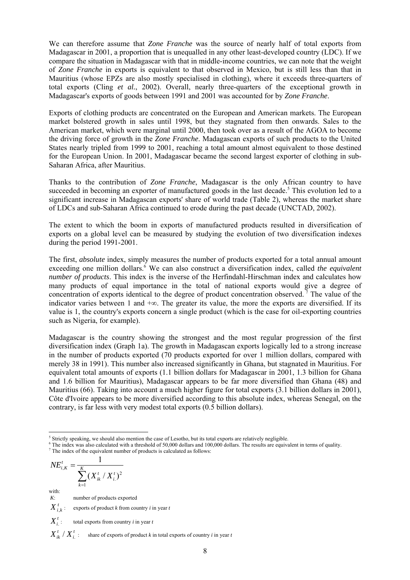We can therefore assume that *Zone Franche* was the source of nearly half of total exports from Madagascar in 2001, a proportion that is unequalled in any other least-developed country (LDC). If we compare the situation in Madagascar with that in middle-income countries, we can note that the weight of *Zone Franche* in exports is equivalent to that observed in Mexico, but is still less than that in Mauritius (whose EPZs are also mostly specialised in clothing), where it exceeds three-quarters of total exports (Cling *et al.*, 2002). Overall, nearly three-quarters of the exceptional growth in Madagascar's exports of goods between 1991 and 2001 was accounted for by *Zone Franche*.

Exports of clothing products are concentrated on the European and American markets. The European market bolstered growth in sales until 1998, but they stagnated from then onwards. Sales to the American market, which were marginal until 2000, then took over as a result of the AGOA to become the driving force of growth in the *Zone Franche*. Madagascan exports of such products to the United States nearly tripled from 1999 to 2001, reaching a total amount almost equivalent to those destined for the European Union. In 2001, Madagascar became the second largest exporter of clothing in sub-Saharan Africa, after Mauritius.

Thanks to the contribution of *Zone Franche*, Madagascar is the only African country to have succeeded in becoming an exporter of manufactured goods in the last decade.<sup>5</sup> This evolution led to a significant increase in Madagascan exports' share of world trade (Table 2), whereas the market share of LDCs and sub-Saharan Africa continued to erode during the past decade (UNCTAD, 2002).

The extent to which the boom in exports of manufactured products resulted in diversification of exports on a global level can be measured by studying the evolution of two diversification indexes during the period 1991-2001.

The first, *absolute* index, simply measures the number of products exported for a total annual amount exceeding one million dollars.<sup>6</sup> We can also construct a diversification index, called *the equivalent number of products*. This index is the inverse of the Herfindahl-Hirschman index and calculates how many products of equal importance in the total of national exports would give a degree of concentration of exports identical to the degree of product concentration observed. 7 The value of the indicator varies between 1 and +∞. The greater its value, the more the exports are diversified. If its value is 1, the country's exports concern a single product (which is the case for oil-exporting countries such as Nigeria, for example).

Madagascar is the country showing the strongest and the most regular progression of the first diversification index (Graph 1a). The growth in Madagascan exports logically led to a strong increase in the number of products exported (70 products exported for over 1 million dollars, compared with merely 38 in 1991). This number also increased significantly in Ghana, but stagnated in Mauritius. For equivalent total amounts of exports (1.1 billion dollars for Madagascar in 2001, 1.3 billion for Ghana and 1.6 billion for Mauritius), Madagascar appears to be far more diversified than Ghana (48) and Mauritius (66). Taking into account a much higher figure for total exports (3.1 billion dollars in 2001), Côte d'Ivoire appears to be more diversified according to this absolute index, whereas Senegal, on the contrary, is far less with very modest total exports (0.5 billion dollars).

<sup>6</sup> The index was also calculated with a threshold of 50,000 dollars and 100,000 dollars. The results are equivalent in terms of quality.

$$
NE_{i,K}^{t} = \frac{1}{\sum_{k=1}^{K} (X_{ik}^{t} / X_{i}^{t})^{2}}
$$

with:

*K*: number of products exported

 $X_{i,k}^t$ : exports of product *k* from country *i* in year *t* 

 $X^t$  : *<sup>t</sup> Xi* : total exports from country *i* in year*<sup>t</sup>*

 $X_{ik}^t / X_i^t$ : share of exports of product *k* in total exports of country *i* in year *t* 

l <sup>5</sup> Strictly speaking, we should also mention the case of Lesotho, but its total exports are relatively negligible.  $\frac{6}{5}$  The index was also soluted with a threshold of 50,000 dellars and 100,000 dellars. The results

 $\frac{7}{1}$  The index of the equivalent number of products is calculated as follows: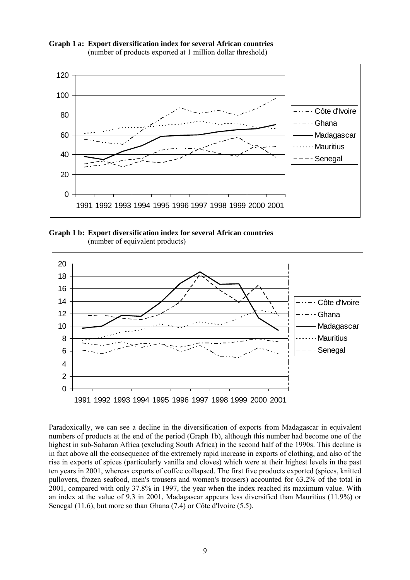

**Graph 1 a: Export diversification index for several African countries**  (number of products exported at 1 million dollar threshold)

**Graph 1 b: Export diversification index for several African countries**  (number of equivalent products)



Paradoxically, we can see a decline in the diversification of exports from Madagascar in equivalent numbers of products at the end of the period (Graph 1b), although this number had become one of the highest in sub-Saharan Africa (excluding South Africa) in the second half of the 1990s. This decline is in fact above all the consequence of the extremely rapid increase in exports of clothing, and also of the rise in exports of spices (particularly vanilla and cloves) which were at their highest levels in the past ten years in 2001, whereas exports of coffee collapsed. The first five products exported (spices, knitted pullovers, frozen seafood, men's trousers and women's trousers) accounted for 63.2% of the total in 2001, compared with only 37.8% in 1997, the year when the index reached its maximum value. With an index at the value of 9.3 in 2001, Madagascar appears less diversified than Mauritius (11.9%) or Senegal (11.6), but more so than Ghana (7.4) or Côte d'Ivoire (5.5).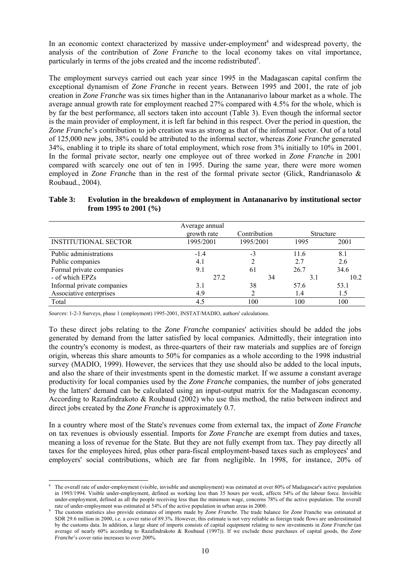In an economic context characterized by massive under-employment<sup>8</sup> and widespread poverty, the analysis of the contribution of *Zone Franche* to the local economy takes on vital importance, particularly in terms of the jobs created and the income redistributed<sup>9</sup>.

The employment surveys carried out each year since 1995 in the Madagascan capital confirm the exceptional dynamism of *Zone Franche* in recent years. Between 1995 and 2001, the rate of job creation in *Zone Franche* was six times higher than in the Antananarivo labour market as a whole. The average annual growth rate for employment reached 27% compared with 4.5% for the whole, which is by far the best performance, all sectors taken into account (Table 3). Even though the informal sector is the main provider of employment, it is left far behind in this respect. Over the period in question, the *Zone Franche*'s contribution to job creation was as strong as that of the informal sector. Out of a total of 125,000 new jobs, 38% could be attributed to the informal sector, whereas *Zone Franche* generated 34%, enabling it to triple its share of total employment, which rose from 3% initially to 10% in 2001. In the formal private sector, nearly one employee out of three worked in *Zone Franche* in 2001 compared with scarcely one out of ten in 1995. During the same year, there were more women employed in *Zone Franch*e than in the rest of the formal private sector (Glick, Randrianasolo & Roubaud*.*, 2004).

| Table 3: | Evolution in the breakdown of employment in Antananarivo by institutional sector |
|----------|----------------------------------------------------------------------------------|
|          | from 1995 to 2001 $(\% )$                                                        |

|                             | Average annual<br>growth rate | Contribution | Structure |      |
|-----------------------------|-------------------------------|--------------|-----------|------|
| <b>INSTITUTIONAL SECTOR</b> | 1995/2001                     | 1995/2001    | 1995      | 2001 |
| Public administrations      | $-1.4$                        | -3           | 11.6      | 8.1  |
| Public companies            | 4.1                           |              | 2.7       | 2.6  |
| Formal private companies    | 9.1                           | 61           | 26.7      | 34.6 |
| - of which EPZs             | 27.2                          | 34           | 3.1       | 10.2 |
| Informal private companies  | 3.1                           | 38           | 57.6      | 53.1 |
| Associative enterprises     | 4.9                           |              | 1.4       | 1.5  |
| Total                       | 4.5                           | 100          | 100       | 100  |

*Sources*: 1-2-3 Surveys, phase 1 (employment) 1995-2001, INSTAT/MADIO, authors' calculations.

l

To these direct jobs relating to the *Zone Franche* companies' activities should be added the jobs generated by demand from the latter satisfied by local companies. Admittedly, their integration into the country's economy is modest, as three-quarters of their raw materials and supplies are of foreign origin, whereas this share amounts to 50% for companies as a whole according to the 1998 industrial survey (MADIO, 1999). However, the services that they use should also be added to the local inputs, and also the share of their investments spent in the domestic market. If we assume a constant average productivity for local companies used by the *Zone Franche* companies, the number of jobs generated by the latters' demand can be calculated using an input-output matrix for the Madagascan economy. According to Razafindrakoto & Roubaud (2002) who use this method, the ratio between indirect and direct jobs created by the *Zone Franche* is approximately 0.7.

In a country where most of the State's revenues come from external tax, the impact of *Zone Franche* on tax revenues is obviously essential. Imports for *Zone Franche* are exempt from duties and taxes, meaning a loss of revenue for the State. But they are not fully exempt from tax. They pay directly all taxes for the employees hired, plus other para-fiscal employment-based taxes such as employees' and employers' social contributions, which are far from negligible. In 1998, for instance, 20% of

<sup>8</sup> The overall rate of under-employment (visible, invisible and unemployment) was estimated at over 80% of Madagascar's active population in 1993/1994. Visible under-employment, defined as working less than 35 hours per week, affects 54% of the labour force. Invisible under-employment, defined as all the people receiving less than the minimum wage, concerns 78% of the active population. The overall rate of under-employment was estimated at 54% of the active population in urban areas in 2000.

The customs statistics also provide estimates of imports made by *Zone Franche*. The trade balance for *Zone* Franche was estimated at SDR 29.6 million in 2000, i.e. a cover ratio of 89.3%. However, this estimate is not very reliable as foreign trade flows are underestimated by the customs data. In addition, a large share of imports consists of capital equipment relating to new investments in *Zone Franche* (an average of nearly 60% according to Razafindrakoto & Roubaud (1997)). If we exclude these purchases of capital goods, the *Zone Franche*'s cover ratio increases to over 200%.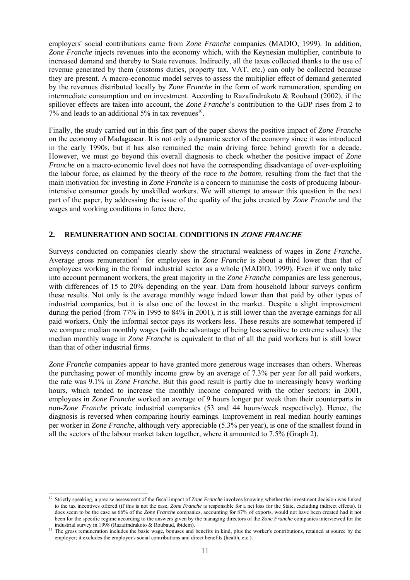employers' social contributions came from *Zone Franche* companies (MADIO, 1999). In addition, *Zone Franche* injects revenues into the economy which, with the Keynesian multiplier, contribute to increased demand and thereby to State revenues. Indirectly, all the taxes collected thanks to the use of revenue generated by them (customs duties, property tax, VAT, etc.) can only be collected because they are present. A macro-economic model serves to assess the multiplier effect of demand generated by the revenues distributed locally by *Zone Franche* in the form of work remuneration, spending on intermediate consumption and on investment. According to Razafindrakoto & Roubaud (2002), if the spillover effects are taken into account, the *Zone Franche*'s contribution to the GDP rises from 2 to  $7\%$  and leads to an additional  $5\%$  in tax revenues<sup>10</sup>.

Finally, the study carried out in this first part of the paper shows the positive impact of *Zone Franche* on the economy of Madagascar. It is not only a dynamic sector of the economy since it was introduced in the early 1990s, but it has also remained the main driving force behind growth for a decade. However, we must go beyond this overall diagnosis to check whether the positive impact of *Zone Franche* on a macro-economic level does not have the corresponding disadvantage of over-exploiting the labour force, as claimed by the theory of the *race to the bottom,* resulting from the fact that the main motivation for investing in *Zone Franche* is a concern to minimise the costs of producing labourintensive consumer goods by unskilled workers. We will attempt to answer this question in the next part of the paper, by addressing the issue of the quality of the jobs created by *Zone Franche* and the wages and working conditions in force there.

# **2. REMUNERATION AND SOCIAL CONDITIONS IN ZONE FRANCHE**

Surveys conducted on companies clearly show the structural weakness of wages in *Zone Franche*. Average gross remuneration<sup>11</sup> for employees in *Zone Franche* is about a third lower than that of employees working in the formal industrial sector as a whole (MADIO, 1999). Even if we only take into account permanent workers, the great majority in the *Zone Franche* companies are less generous, with differences of 15 to 20% depending on the year. Data from household labour surveys confirm these results. Not only is the average monthly wage indeed lower than that paid by other types of industrial companies, but it is also one of the lowest in the market. Despite a slight improvement during the period (from 77% in 1995 to 84% in 2001), it is still lower than the average earnings for all paid workers. Only the informal sector pays its workers less. These results are somewhat tempered if we compare median monthly wages (with the advantage of being less sensitive to extreme values): the median monthly wage in *Zone Franche* is equivalent to that of all the paid workers but is still lower than that of other industrial firms.

*Zone Franche* companies appear to have granted more generous wage increases than others. Whereas the purchasing power of monthly income grew by an average of 7.3% per year for all paid workers, the rate was 9.1% in *Zone Franche*. But this good result is partly due to increasingly heavy working hours, which tended to increase the monthly income compared with the other sectors: in 2001, employees in *Zone Franche* worked an average of 9 hours longer per week than their counterparts in non-*Zone Franche* private industrial companies (53 and 44 hours/week respectively). Hence, the diagnosis is reversed when comparing hourly earnings. Improvement in real median hourly earnings per worker in *Zone Franche*, although very appreciable (5.3% per year), is one of the smallest found in all the sectors of the labour market taken together, where it amounted to 7.5% (Graph 2).

l <sup>10</sup> Strictly speaking, a precise assessment of the fiscal impact of *Zone Franche* involves knowing whether the investment decision was linked to the tax incentives offered (if this is not the case, *Zone Franche* is responsible for a net loss for the State, excluding indirect effects). It does seem to be the case as 66% of the *Zone Franche* companies, accounting for 87% of exports, would not have been created had it not been for the specific regime according to the answers given by the managing directors of the *Zone Franche* companies interviewed for the

industrial survey in 1998 (Razafindrakoto & Roubaud, ibidem). 11 The gross remuneration includes the basic wage, bonuses and benefits in kind, plus the worker's contributions, retained at source by the employer; it excludes the employer's social contributions and direct benefits (health, etc.).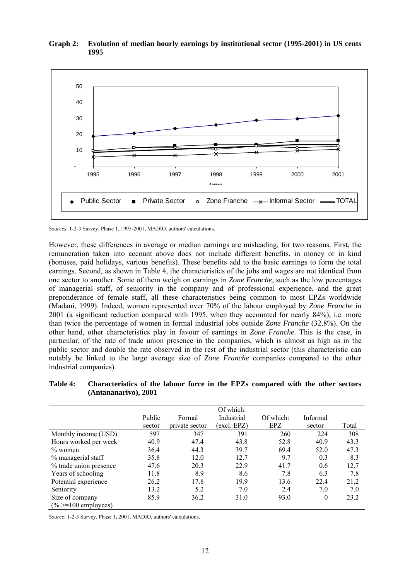

# **Graph 2: Evolution of median hourly earnings by institutional sector (1995-2001) in US cents 1995**

However, these differences in average or median earnings are misleading, for two reasons. First, the remuneration taken into account above does not include different benefits, in money or in kind (bonuses, paid holidays, various benefits). These benefits add to the basic earnings to form the total earnings. Second, as shown in Table 4, the characteristics of the jobs and wages are not identical from one sector to another. Some of them weigh on earnings in *Zone Franche*, such as the low percentages of managerial staff, of seniority in the company and of professional experience, and the great preponderance of female staff, all these characteristics being common to most EPZs worldwide (Madani, 1999). Indeed, women represented over 70% of the labour employed by *Zone Franche* in 2001 (a significant reduction compared with 1995, when they accounted for nearly 84%), i.e. more than twice the percentage of women in formal industrial jobs outside *Zone Franche* (32.8%). On the other hand, other characteristics play in favour of earnings in *Zone Franche*. This is the case, in particular, of the rate of trade union presence in the companies, which is almost as high as in the public sector and double the rate observed in the rest of the industrial sector (this characteristic can notably be linked to the large average size of *Zone Franche* companies compared to the other industrial companies).

| Table 4: | Characteristics of the labour force in the EPZs compared with the other sectors |
|----------|---------------------------------------------------------------------------------|
|          | (Antananarivo), 2001                                                            |

|                        |        |                | Of which:   |           |                 |       |
|------------------------|--------|----------------|-------------|-----------|-----------------|-------|
|                        | Public | Formal         | Industrial  | Of which: | <b>Informal</b> |       |
|                        | sector | private sector | (excl. EPZ) | EPZ       | sector          | Total |
| Monthly income (USD)   | 597    | 347            | 391         | 260       | 224             | 308   |
| Hours worked per week  | 40.9   | 47.4           | 43.8        | 52.8      | 40.9            | 43.3  |
| $\%$ women             | 36.4   | 44.3           | 39.7        | 69.4      | 52.0            | 47.3  |
| % managerial staff     | 35.8   | 12.0           | 12.7        | 9.7       | 0.3             | 8.3   |
| % trade union presence | 47.6   | 20.3           | 22.9        | 41.7      | 0.6             | 12.7  |
| Years of schooling     | 11.8   | 8.9            | 8.6         | 7.8       | 6.3             | 7.8   |
| Potential experience   | 26.2   | 17.8           | 19.9        | 13.6      | 22.4            | 21.2  |
| Seniority              | 13.2   | 5.2            | 7.0         | 2.4       | 7.0             | 7.0   |
| Size of company        | 85.9   | 36.2           | 31.0        | 93.0      | $\theta$        | 23.2  |
| $(\%>=100$ employees)  |        |                |             |           |                 |       |

*Source*: 1-2-3 Survey, Phase 1, 2001, MADIO, authors' calculations.

*Sources*: 1-2-3 Survey, Phase 1, 1995-2001, MADIO, authors' calculations.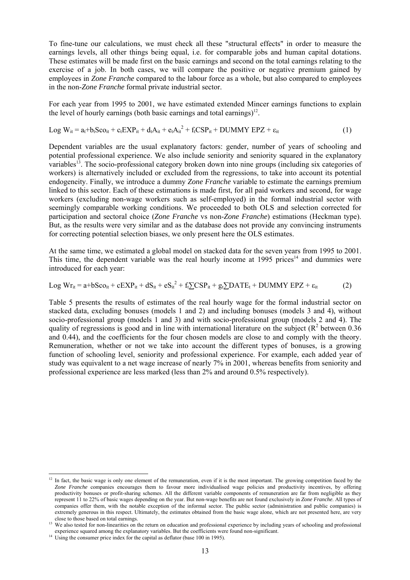To fine-tune our calculations, we must check all these "structural effects" in order to measure the earnings levels, all other things being equal, i.e. for comparable jobs and human capital dotations. These estimates will be made first on the basic earnings and second on the total earnings relating to the exercise of a job. In both cases, we will compare the positive or negative premium gained by employees in *Zone Franche* compared to the labour force as a whole, but also compared to employees in the non-*Zone Franche* formal private industrial sector.

For each year from 1995 to 2001, we have estimated extended Mincer earnings functions to explain the level of hourly earnings (both basic earnings and total earnings)<sup>12</sup>.

$$
Log W_{it} = a_t + b_t Soc_{it} + c_t EXP_{it} + d_t A_{it} + e_t A_{it}^{2} + f_t CSP_{it} + DUMMY EPZ + \varepsilon_{it}
$$
\n(1)

Dependent variables are the usual explanatory factors: gender, number of years of schooling and potential professional experience. We also include seniority and seniority squared in the explanatory variables13. The socio-professional category broken down into nine groups (including six categories of workers) is alternatively included or excluded from the regressions, to take into account its potential endogeneity. Finally, we introduce a dummy *Zone Franche* variable to estimate the earnings premium linked to this sector. Each of these estimations is made first, for all paid workers and second, for wage workers (excluding non-wage workers such as self-employed) in the formal industrial sector with seemingly comparable working conditions. We proceeded to both OLS and selection corrected for participation and sectoral choice (*Zone Franche* vs non-*Zone Franche*) estimations (Heckman type). But, as the results were very similar and as the database does not provide any convincing instruments for correcting potential selection biases, we only present here the OLS estimates.

At the same time, we estimated a global model on stacked data for the seven years from 1995 to 2001. This time, the dependent variable was the real hourly income at  $1995$  prices<sup>14</sup> and dummies were introduced for each year:

$$
Log Wr_{it} = a + bSco_{it} + cEXP_{it} + dS_{it} + eS_{it}^{2} + f_{t}\sum CSP_{it} + g_{t}\sum DATAE_{t} + DUMMY EPZ + \varepsilon_{it}
$$
 (2)

Table 5 presents the results of estimates of the real hourly wage for the formal industrial sector on stacked data, excluding bonuses (models 1 and 2) and including bonuses (models 3 and 4), without socio-professional group (models 1 and 3) and with socio-professional group (models 2 and 4). The quality of regressions is good and in line with international literature on the subject  $(R^2$  between 0.36 and 0.44), and the coefficients for the four chosen models are close to and comply with the theory. Remuneration, whether or not we take into account the different types of bonuses, is a growing function of schooling level, seniority and professional experience. For example, each added year of study was equivalent to a net wage increase of nearly 7% in 2001, whereas benefits from seniority and professional experience are less marked (less than 2% and around 0.5% respectively).

 $\overline{a}$ 

 $12$  In fact, the basic wage is only one element of the remuneration, even if it is the most important. The growing competition faced by the *Zone Franche* companies encourages them to favour more individualised wage policies and productivity incentives, by offering productivity bonuses or profit-sharing schemes. All the different variable components of remuneration are far from negligible as they represent 11 to 22% of basic wages depending on the year. But non-wage benefits are not found exclusively in *Zone Franche*. All types of companies offer them, with the notable exception of the informal sector. The public sector (administration and public companies) is extremely generous in this respect. Ultimately, the estimates obtained from the basic wage alone, which are not presented here, are very close to those based on total earnings.

we also tested for non-linearities on the return on education and professional experience by including years of schooling and professional experience squared among the explanatory variables. But the coefficients were found

<sup>&</sup>lt;sup>14</sup> Using the consumer price index for the capital as deflator (base 100 in 1995).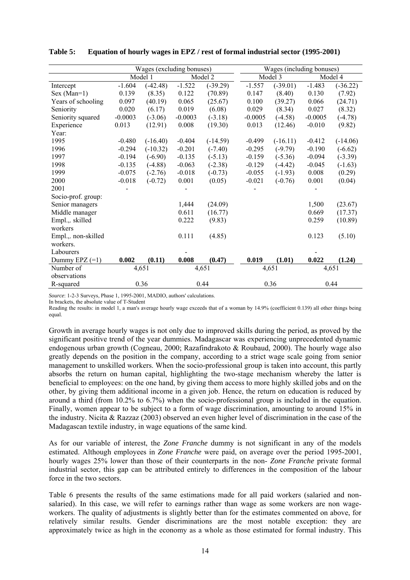|                     | Wages (excluding bonuses) |            |           |            |           | Wages (including bonuses) |           |            |  |
|---------------------|---------------------------|------------|-----------|------------|-----------|---------------------------|-----------|------------|--|
|                     |                           | Model 1    | Model 2   |            | Model 3   |                           | Model 4   |            |  |
| Intercept           | $-1.604$                  | $(-42.48)$ | $-1.522$  | $(-39.29)$ | $-1.557$  | $(-39.01)$                | $-1.483$  | $(-36.22)$ |  |
| $Sex (Man=1)$       | 0.139                     | (8.35)     | 0.122     | (70.89)    | 0.147     | (8.40)                    | 0.130     | (7.92)     |  |
| Years of schooling  | 0.097                     | (40.19)    | 0.065     | (25.67)    | 0.100     | (39.27)                   | 0.066     | (24.71)    |  |
| Seniority           | 0.020                     | (6.17)     | 0.019     | (6.08)     | 0.029     | (8.34)                    | 0.027     | (8.32)     |  |
| Seniority squared   | $-0.0003$                 | $(-3.06)$  | $-0.0003$ | $(-3.18)$  | $-0.0005$ | $(-4.58)$                 | $-0.0005$ | $(-4.78)$  |  |
| Experience          | 0.013                     | (12.91)    | 0.008     | (19.30)    | 0.013     | (12.46)                   | $-0.010$  | (9.82)     |  |
| Year:               |                           |            |           |            |           |                           |           |            |  |
| 1995                | $-0.480$                  | $(-16.40)$ | $-0.404$  | $(-14.59)$ | $-0.499$  | $(-16.11)$                | $-0.412$  | $(-14.06)$ |  |
| 1996                | $-0.294$                  | $(-10.32)$ | $-0.201$  | $(-7.40)$  | $-0.295$  | $(-9.79)$                 | $-0.190$  | $(-6.62)$  |  |
| 1997                | $-0.194$                  | $(-6.90)$  | $-0.135$  | $(-5.13)$  | $-0.159$  | $(-5.36)$                 | $-0.094$  | $(-3.39)$  |  |
| 1998                | $-0.135$                  | $(-4.88)$  | $-0.063$  | $(-2.38)$  | $-0.129$  | $(-4.42)$                 | $-0.045$  | $(-1.63)$  |  |
| 1999                | $-0.075$                  | $(-2.76)$  | $-0.018$  | $(-0.73)$  | $-0.055$  | $(-1.93)$                 | 0.008     | (0.29)     |  |
| 2000                | $-0.018$                  | $(-0.72)$  | 0.001     | (0.05)     | $-0.021$  | $(-0.76)$                 | 0.001     | (0.04)     |  |
| 2001                |                           |            |           |            |           |                           |           |            |  |
| Socio-prof. group:  |                           |            |           |            |           |                           |           |            |  |
| Senior managers     |                           |            | 1,444     | (24.09)    |           |                           | 1,500     | (23.67)    |  |
| Middle manager      |                           |            | 0.611     | (16.77)    |           |                           | 0.669     | (17.37)    |  |
| Empl.,. skilled     |                           |            | 0.222     | (9.83)     |           |                           | 0.259     | (10.89)    |  |
| workers             |                           |            |           |            |           |                           |           |            |  |
| Empl.,. non-skilled |                           |            | 0.111     | (4.85)     |           |                           | 0.123     | (5.10)     |  |
| workers.            |                           |            |           |            |           |                           |           |            |  |
| Labourers           |                           |            |           |            |           |                           |           |            |  |
| Dummy EPZ $(=1)$    | 0.002                     | (0.11)     | 0.008     | (0.47)     | 0.019     | (1.01)                    | 0.022     | (1.24)     |  |
| Number of           |                           | 4,651      | 4,651     |            | 4,651     |                           | 4,651     |            |  |
| observations        |                           |            |           |            |           |                           |           |            |  |
| R-squared           |                           | 0.36       | 0.44      |            |           | 0.36                      |           | 0.44       |  |

**Table 5: Equation of hourly wages in EPZ / rest of formal industrial sector (1995-2001)** 

*Source*: 1-2-3 Surveys, Phase 1, 1995-2001, MADIO, authors' calculations.

In brackets, the absolute value of T-Student

Reading the results: in model 1, a man's average hourly wage exceeds that of a woman by 14.9% (coefficient 0.139) all other things being equal.

Growth in average hourly wages is not only due to improved skills during the period, as proved by the significant positive trend of the year dummies. Madagascar was experiencing unprecedented dynamic endogenous urban growth (Cogneau, 2000; Razafindrakoto & Roubaud, 2000). The hourly wage also greatly depends on the position in the company, according to a strict wage scale going from senior management to unskilled workers. When the socio-professional group is taken into account, this partly absorbs the return on human capital, highlighting the two-stage mechanism whereby the latter is beneficial to employees: on the one hand, by giving them access to more highly skilled jobs and on the other, by giving them additional income in a given job. Hence, the return on education is reduced by around a third (from 10.2% to 6.7%) when the socio-professional group is included in the equation. Finally, women appear to be subject to a form of wage discrimination, amounting to around 15% in the industry. Nicita & Razzaz (2003) observed an even higher level of discrimination in the case of the Madagascan textile industry, in wage equations of the same kind.

As for our variable of interest, the *Zone Franche* dummy is not significant in any of the models estimated. Although employees in *Zone Franche* were paid, on average over the period 1995-2001, hourly wages 25% lower than those of their counterparts in the non- *Zone Franche* private formal industrial sector, this gap can be attributed entirely to differences in the composition of the labour force in the two sectors.

Table 6 presents the results of the same estimations made for all paid workers (salaried and nonsalaried). In this case, we will refer to earnings rather than wage as some workers are non wageworkers. The quality of adjustments is slightly better than for the estimates commented on above, for relatively similar results. Gender discriminations are the most notable exception: they are approximately twice as high in the economy as a whole as those estimated for formal industry. This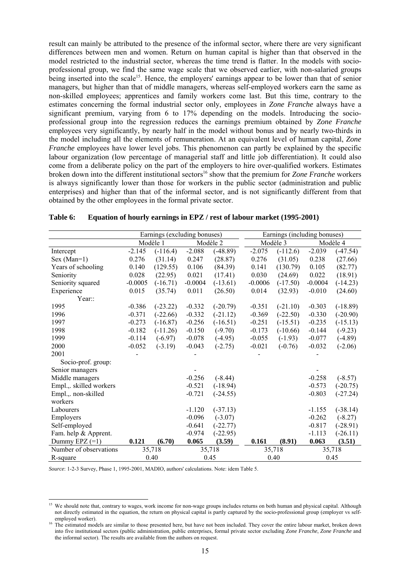result can mainly be attributed to the presence of the informal sector, where there are very significant differences between men and women. Return on human capital is higher than that observed in the model restricted to the industrial sector, whereas the time trend is flatter. In the models with socioprofessional group, we find the same wage scale that we observed earlier, with non-salaried groups being inserted into the scale<sup>15</sup>. Hence, the employers' earnings appear to be lower than that of senior managers, but higher than that of middle managers, whereas self-employed workers earn the same as non-skilled employees; apprentices and family workers come last. But this time, contrary to the estimates concerning the formal industrial sector only, employees in *Zone Franche* always have a significant premium, varying from 6 to 17% depending on the models. Introducing the socioprofessional group into the regression reduces the earnings premium obtained by *Zone Franche* employees very significantly, by nearly half in the model without bonus and by nearly two-thirds in the model including all the elements of remuneration. At an equivalent level of human capital, *Zone Franche* employees have lower level jobs. This phenomenon can partly be explained by the specific labour organization (low percentage of managerial staff and little job differentiation). It could also come from a deliberate policy on the part of the employers to hire over-qualified workers. Estimates broken down into the different institutional sectors<sup>16</sup> show that the premium for *Zone Franche* workers is always significantly lower than those for workers in the public sector (administration and public enterprises) and higher than that of the informal sector, and is not significantly different from that obtained by the other employees in the formal private sector.

|                         | Earnings (excluding bonuses) |            |           |            | Earnings (including bonuses) |            |           |            |  |
|-------------------------|------------------------------|------------|-----------|------------|------------------------------|------------|-----------|------------|--|
|                         | Modèle 1                     |            | Modèle 2  |            |                              | Modèle 3   |           | Modèle 4   |  |
| Intercept               | $-2.145$                     | $(-116.4)$ | $-2.088$  | $(-48.89)$ | $-2.075$                     | $(-112.6)$ | $-2.039$  | $(-47.54)$ |  |
| $Sex (Man=1)$           | 0.276                        | (31.14)    | 0.247     | (28.87)    | 0.276                        | (31.05)    | 0.238     | (27.66)    |  |
| Years of schooling      | 0.140                        | (129.55)   | 0.106     | (84.39)    | 0.141                        | (130.79)   | 0.105     | (82.77)    |  |
| Seniority               | 0.028                        | (22.95)    | 0.021     | (17.41)    | 0.030                        | (24.69)    | 0.022     | (18.91)    |  |
| Seniority squared       | $-0.0005$                    | $(-16.71)$ | $-0.0004$ | $(-13.61)$ | $-0.0006$                    | $(-17.50)$ | $-0.0004$ | $(-14.23)$ |  |
| Experience              | 0.015                        | (35.74)    | 0.011     | (26.50)    | 0.014                        | (32.93)    | $-0.010$  | (24.60)    |  |
| Year::                  |                              |            |           |            |                              |            |           |            |  |
| 1995                    | $-0.386$                     | $(-23.22)$ | $-0.332$  | $(-20.79)$ | $-0.351$                     | $(-21.10)$ | $-0.303$  | $(-18.89)$ |  |
| 1996                    | $-0.371$                     | $(-22.66)$ | $-0.332$  | $(-21.12)$ | $-0.369$                     | $(-22.50)$ | $-0.330$  | $(-20.90)$ |  |
| 1997                    | $-0.273$                     | $(-16.87)$ | $-0.256$  | $(-16.51)$ | $-0.251$                     | $(-15.51)$ | $-0.235$  | $(-15.13)$ |  |
| 1998                    | $-0.182$                     | $(-11.26)$ | $-0.150$  | $(-9.70)$  | $-0.173$                     | $(-10.66)$ | $-0.144$  | $(-9.23)$  |  |
| 1999                    | $-0.114$                     | $(-6.97)$  | $-0.078$  | $(-4.95)$  | $-0.055$                     | $(-1.93)$  | $-0.077$  | $(-4.89)$  |  |
| 2000                    | $-0.052$                     | $(-3.19)$  | $-0.043$  | $(-2.75)$  | $-0.021$                     | $(-0.76)$  | $-0.032$  | $(-2.06)$  |  |
| 2001                    |                              |            |           |            |                              |            |           |            |  |
| Socio-prof. group:      |                              |            |           |            |                              |            |           |            |  |
| Senior managers         |                              |            |           |            |                              |            |           |            |  |
| Middle managers         |                              |            | $-0.256$  | $(-8.44)$  |                              |            | $-0.258$  | $(-8.57)$  |  |
| Empl.,. skilled workers |                              |            | $-0.521$  | $(-18.94)$ |                              |            | $-0.573$  | $(-20.75)$ |  |
| Empl.,. non-skilled     |                              |            | $-0.721$  | $(-24.55)$ |                              |            | $-0.803$  | $(-27.24)$ |  |
| workers                 |                              |            |           |            |                              |            |           |            |  |
| Labourers               |                              |            | $-1.120$  | $(-37.13)$ |                              |            | $-1.155$  | $(-38.14)$ |  |
| Employers               |                              |            | $-0.096$  | $(-3.07)$  |                              |            | $-0.262$  | $(-8.27)$  |  |
| Self-employed           |                              |            | $-0.641$  | $(-22.77)$ |                              |            | $-0.817$  | $(-28.91)$ |  |
| Fam. help & Apprent.    |                              |            | $-0.974$  | $(-22.95)$ |                              |            | $-1.113$  | $(-26.11)$ |  |
| Dummy EPZ $(=1)$        | 0.121                        | (6.70)     | 0.065     | (3.59)     | 0.161                        | (8.91)     | 0.063     | (3.51)     |  |
| Number of observations  |                              | 35,718     |           | 35,718     |                              | 35,718     |           | 35,718     |  |
| R-square                |                              | 0.40       |           | 0.45       |                              | 0.40       |           | 0.45       |  |

| Table 6: |  | Equation of hourly earnings in EPZ / rest of labour market (1995-2001) |  |
|----------|--|------------------------------------------------------------------------|--|
|          |  |                                                                        |  |

*Source*: 1-2-3 Survey, Phase 1, 1995-2001, MADIO, authors' calculations. Note: idem Table 5.

l

<sup>&</sup>lt;sup>15</sup> We should note that, contrary to wages, work income for non-wage groups includes returns on both human and physical capital. Although not directly estimated in the equation, the return on physical capital is partly captured by the socio-professional group (employer vs selfemployed worker).<br><sup>16</sup> The estimated models are similar to those presented here, but have not been included. They cover the entire labour market, broken down

into five institutional sectors (public administration, public enterprises, formal private sector excluding *Zone Franche*, *Zone Franche* and the informal sector). The results are available from the authors on request.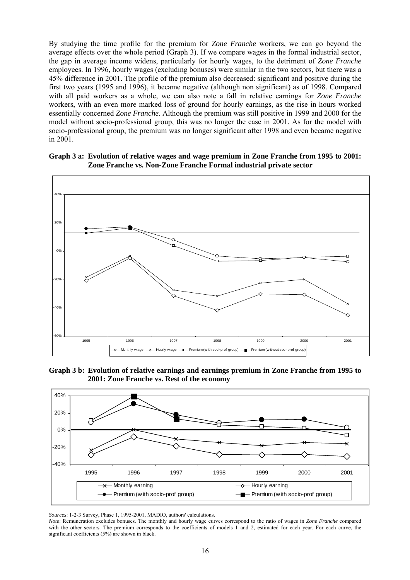By studying the time profile for the premium for *Zone Franche* workers, we can go beyond the average effects over the whole period (Graph 3). If we compare wages in the formal industrial sector, the gap in average income widens, particularly for hourly wages, to the detriment of *Zone Franche* employees. In 1996, hourly wages (excluding bonuses) were similar in the two sectors, but there was a 45% difference in 2001. The profile of the premium also decreased: significant and positive during the first two years (1995 and 1996), it became negative (although non significant) as of 1998. Compared with all paid workers as a whole, we can also note a fall in relative earnings for *Zone Franche* workers, with an even more marked loss of ground for hourly earnings, as the rise in hours worked essentially concerned *Zone Franche*. Although the premium was still positive in 1999 and 2000 for the model without socio-professional group, this was no longer the case in 2001. As for the model with socio-professional group, the premium was no longer significant after 1998 and even became negative in 2001.

#### **Graph 3 a: Evolution of relative wages and wage premium in Zone Franche from 1995 to 2001: Zone Franche vs. Non-Zone Franche Formal industrial private sector**



**Graph 3 b: Evolution of relative earnings and earnings premium in Zone Franche from 1995 to 2001: Zone Franche vs. Rest of the economy** 



*Sources*: 1-2-3 Survey, Phase 1, 1995-2001, MADIO, authors' calculations.

*Note*: Remuneration excludes bonuses. The monthly and hourly wage curves correspond to the ratio of wages in *Zone Franche* compared with the other sectors. The premium corresponds to the coefficients of models 1 and 2, estimated for each year. For each curve, the significant coefficients (5%) are shown in black.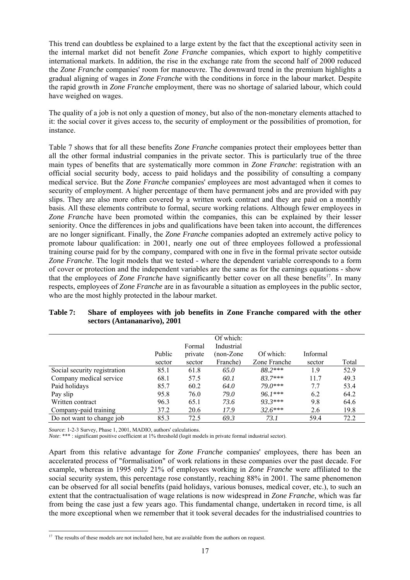This trend can doubtless be explained to a large extent by the fact that the exceptional activity seen in the internal market did not benefit *Zone Franche* companies, which export to highly competitive international markets. In addition, the rise in the exchange rate from the second half of 2000 reduced the *Zone Franche* companies' room for manoeuvre. The downward trend in the premium highlights a gradual aligning of wages in *Zone Franche* with the conditions in force in the labour market. Despite the rapid growth in *Zone Franche* employment, there was no shortage of salaried labour, which could have weighed on wages.

The quality of a job is not only a question of money, but also of the non-monetary elements attached to it: the social cover it gives access to, the security of employment or the possibilities of promotion, for instance.

Table 7 shows that for all these benefits *Zone Franche* companies protect their employees better than all the other formal industrial companies in the private sector. This is particularly true of the three main types of benefits that are systematically more common in *Zone Franche*: registration with an official social security body, access to paid holidays and the possibility of consulting a company medical service. But the *Zone Franche* companies' employees are most advantaged when it comes to security of employment. A higher percentage of them have permanent jobs and are provided with pay slips. They are also more often covered by a written work contract and they are paid on a monthly basis. All these elements contribute to formal, secure working relations. Although fewer employees in *Zone Franch*e have been promoted within the companies, this can be explained by their lesser seniority. Once the differences in jobs and qualifications have been taken into account, the differences are no longer significant. Finally, the *Zone Franche* companies adopted an extremely active policy to promote labour qualification: in 2001, nearly one out of three employees followed a professional training course paid for by the company, compared with one in five in the formal private sector outside *Zone Franche*. The logit models that we tested - where the dependent variable corresponds to a form of cover or protection and the independent variables are the same as for the earnings equations - show that the employees of *Zone Franche* have significantly better cover on all these benefits<sup>17</sup>. In many respects, employees of *Zone Franche* are in as favourable a situation as employees in the public sector, who are the most highly protected in the labour market.

|                              |        |         | Of which:  |              |          |       |
|------------------------------|--------|---------|------------|--------------|----------|-------|
|                              |        | Formal  | Industrial |              |          |       |
|                              | Public | private | $non-Zone$ | Of which:    | Informal |       |
|                              | sector | sector  | Franche)   | Zone Franche | sector   | Total |
| Social security registration | 85.1   | 61.8    | 65.0       | 88.2 ***     | 1.9      | 52.9  |
| Company medical service      | 68.1   | 57.5    | 60.1       | $83.7***$    | 11.7     | 49.3  |
| Paid holidays                | 85.7   | 60.2    | 64.0       | 79.0***      | 7.7      | 53.4  |
| Pay slip                     | 95.8   | 76.0    | 79.0       | $96.1***$    | 6.2      | 64.2  |
| Written contract             | 96.3   | 65.1    | 73.6       | $93.3***$    | 9.8      | 64.6  |
| Company-paid training        | 37.2   | 20.6    | 17.9       | $32.6***$    | 2.6      | 19.8  |
| Do not want to change job    | 85.3   | 72.5    | 69.3       | 73.1         | 59.4     | 72.2  |

# **Table 7: Share of employees with job benefits in Zone Franche compared with the other sectors (Antananarivo), 2001**

*Source*: 1-2-3 Survey, Phase 1, 2001, MADIO, authors' calculations.

 $\overline{a}$ 

*Note*: \*\*\* : significant positive coefficient at 1% threshold (logit models in private formal industrial sector).

Apart from this relative advantage for *Zone Franche* companies' employees, there has been an accelerated process of "formalisation" of work relations in these companies over the past decade. For example, whereas in 1995 only 21% of employees working in *Zone Franche* were affiliated to the social security system, this percentage rose constantly, reaching 88% in 2001. The same phenomenon can be observed for all social benefits (paid holidays, various bonuses, medical cover, etc.), to such an extent that the contractualisation of wage relations is now widespread in *Zone Franche*, which was far from being the case just a few years ago. This fundamental change, undertaken in record time, is all the more exceptional when we remember that it took several decades for the industrialised countries to

<sup>&</sup>lt;sup>17</sup> The results of these models are not included here, but are available from the authors on request.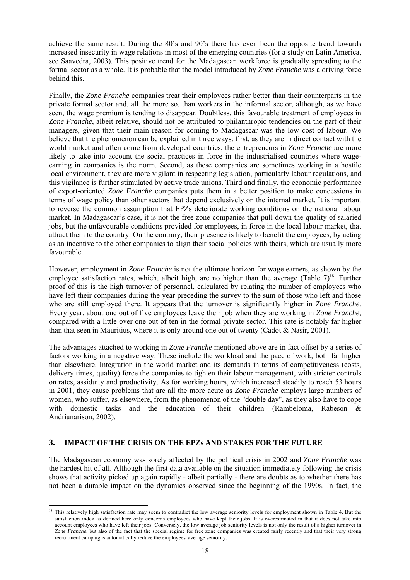achieve the same result. During the 80's and 90's there has even been the opposite trend towards increased insecurity in wage relations in most of the emerging countries (for a study on Latin America, see Saavedra, 2003). This positive trend for the Madagascan workforce is gradually spreading to the formal sector as a whole. It is probable that the model introduced by *Zone Franche* was a driving force behind this.

Finally, the *Zone Franche* companies treat their employees rather better than their counterparts in the private formal sector and, all the more so, than workers in the informal sector, although, as we have seen, the wage premium is tending to disappear. Doubtless, this favourable treatment of employees in *Zone Franche*, albeit relative, should not be attributed to philanthropic tendencies on the part of their managers, given that their main reason for coming to Madagascar was the low cost of labour. We believe that the phenomenon can be explained in three ways: first, as they are in direct contact with the world market and often come from developed countries, the entrepreneurs in *Zone Franche* are more likely to take into account the social practices in force in the industrialised countries where wageearning in companies is the norm. Second, as these companies are sometimes working in a hostile local environment, they are more vigilant in respecting legislation, particularly labour regulations, and this vigilance is further stimulated by active trade unions. Third and finally, the economic performance of export-oriented *Zone Franche* companies puts them in a better position to make concessions in terms of wage policy than other sectors that depend exclusively on the internal market. It is important to reverse the common assumption that EPZs deteriorate working conditions on the national labour market. In Madagascar's case, it is not the free zone companies that pull down the quality of salaried jobs, but the unfavourable conditions provided for employees, in force in the local labour market, that attract them to the country. On the contrary, their presence is likely to benefit the employees, by acting as an incentive to the other companies to align their social policies with theirs, which are usually more favourable.

However, employment in *Zone Franche* is not the ultimate horizon for wage earners, as shown by the employee satisfaction rates, which, albeit high, are no higher than the average (Table  $7)^{18}$ . Further proof of this is the high turnover of personnel, calculated by relating the number of employees who have left their companies during the year preceding the survey to the sum of those who left and those who are still employed there. It appears that the turnover is significantly higher in *Zone Franche*. Every year, about one out of five employees leave their job when they are working in *Zone Franche*, compared with a little over one out of ten in the formal private sector. This rate is notably far higher than that seen in Mauritius, where it is only around one out of twenty (Cadot & Nasir, 2001).

The advantages attached to working in *Zone Franche* mentioned above are in fact offset by a series of factors working in a negative way. These include the workload and the pace of work, both far higher than elsewhere. Integration in the world market and its demands in terms of competitiveness (costs, delivery times, quality) force the companies to tighten their labour management, with stricter controls on rates, assiduity and productivity. As for working hours, which increased steadily to reach 53 hours in 2001, they cause problems that are all the more acute as *Zone Franche* employs large numbers of women, who suffer, as elsewhere, from the phenomenon of the "double day", as they also have to cope with domestic tasks and the education of their children (Rambeloma, Rabeson & Andrianarison, 2002).

# **3. IMPACT OF THE CRISIS ON THE EPZs AND STAKES FOR THE FUTURE**

The Madagascan economy was sorely affected by the political crisis in 2002 and *Zone Franche* was the hardest hit of all. Although the first data available on the situation immediately following the crisis shows that activity picked up again rapidly - albeit partially - there are doubts as to whether there has not been a durable impact on the dynamics observed since the beginning of the 1990s. In fact, the

l <sup>18</sup> This relatively high satisfaction rate may seem to contradict the low average seniority levels for employment shown in Table 4. But the satisfaction index as defined here only concerns employees who have kept their jobs. It is overestimated in that it does not take into account employees who have left their jobs. Conversely, the low average job seniority levels is not only the result of a higher turnover in *Zone Franche*, but also of the fact that the special regime for free zone companies was created fairly recently and that their very strong recruitment campaigns automatically reduce the employees' average seniority.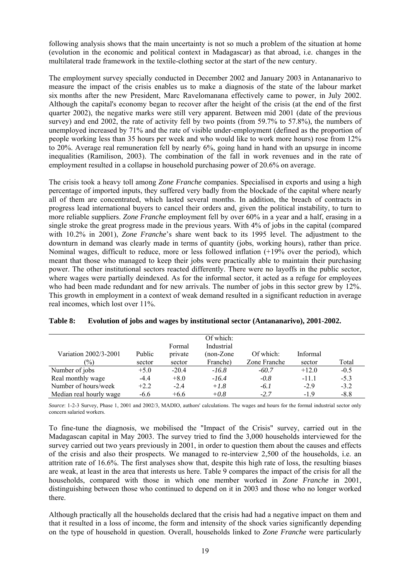following analysis shows that the main uncertainty is not so much a problem of the situation at home (evolution in the economic and political context in Madagascar) as that abroad, i.e. changes in the multilateral trade framework in the textile-clothing sector at the start of the new century.

The employment survey specially conducted in December 2002 and January 2003 in Antananarivo to measure the impact of the crisis enables us to make a diagnosis of the state of the labour market six months after the new President, Marc Ravelomanana effectively came to power, in July 2002. Although the capital's economy began to recover after the height of the crisis (at the end of the first quarter 2002), the negative marks were still very apparent. Between mid 2001 (date of the previous survey) and end 2002, the rate of activity fell by two points (from 59.7% to 57.8%), the numbers of unemployed increased by 71% and the rate of visible under-employment (defined as the proportion of people working less than 35 hours per week and who would like to work more hours) rose from 12% to 20%. Average real remuneration fell by nearly 6%, going hand in hand with an upsurge in income inequalities (Ramilison, 2003). The combination of the fall in work revenues and in the rate of employment resulted in a collapse in household purchasing power of 20.6% on average.

The crisis took a heavy toll among *Zone Franche* companies. Specialised in exports and using a high percentage of imported inputs, they suffered very badly from the blockade of the capital where nearly all of them are concentrated, which lasted several months. In addition, the breach of contracts in progress lead international buyers to cancel their orders and, given the political instability, to turn to more reliable suppliers. *Zone Franche* employment fell by over 60% in a year and a half, erasing in a single stroke the great progress made in the previous years. With 4% of jobs in the capital (compared with 10.2% in 2001), *Zone Franche*'s share went back to its 1995 level. The adjustment to the downturn in demand was clearly made in terms of quantity (jobs, working hours), rather than price. Nominal wages, difficult to reduce, more or less followed inflation (+19% over the period), which meant that those who managed to keep their jobs were practically able to maintain their purchasing power. The other institutional sectors reacted differently. There were no layoffs in the public sector, where wages were partially deindexed. As for the informal sector, it acted as a refuge for employees who had been made redundant and for new arrivals. The number of jobs in this sector grew by 12%. This growth in employment in a context of weak demand resulted in a significant reduction in average real incomes, which lost over 11%.

| Variation 2002/3-2001   | Public | Formal<br>private | Of which:<br>Industrial<br>$non-Zone$ | Of which:    | Informal |        |
|-------------------------|--------|-------------------|---------------------------------------|--------------|----------|--------|
| $\frac{1}{2}$           | sector | sector            | Franche)                              | Zone Franche | sector   | Total  |
| Number of jobs          | $+5.0$ | $-20.4$           | $-16.8$                               | $-60.7$      | $+12.0$  | $-0.5$ |
| Real monthly wage       | $-4.4$ | $+8.0$            | $-16.4$                               | $-0.8$       | $-11.1$  | $-5.3$ |
| Number of hours/week    | $+2.2$ | $-2.4$            | $+1.8$                                | $-6.1$       | $-2.9$   | $-3.2$ |
| Median real hourly wage | $-6.6$ | $+6.6$            | $+0.8$                                | $-2.7$       | $-1.9$   | $-8.8$ |

| <b>Table 8:</b> |  |  | Evolution of jobs and wages by institutional sector (Antananarivo), 2001-2002. |
|-----------------|--|--|--------------------------------------------------------------------------------|
|-----------------|--|--|--------------------------------------------------------------------------------|

*Source*: 1-2-3 Survey, Phase 1, 2001 and 2002/3, MADIO, authors' calculations. The wages and hours for the formal industrial sector only concern salaried workers.

To fine-tune the diagnosis, we mobilised the "Impact of the Crisis" survey, carried out in the Madagascan capital in May 2003. The survey tried to find the 3,000 households interviewed for the survey carried out two years previously in 2001, in order to question them about the causes and effects of the crisis and also their prospects. We managed to re-interview 2,500 of the households, i.e. an attrition rate of 16.6%. The first analyses show that, despite this high rate of loss, the resulting biases are weak, at least in the area that interests us here. Table 9 compares the impact of the crisis for all the households, compared with those in which one member worked in *Zone Franche* in 2001, distinguishing between those who continued to depend on it in 2003 and those who no longer worked there.

Although practically all the households declared that the crisis had had a negative impact on them and that it resulted in a loss of income, the form and intensity of the shock varies significantly depending on the type of household in question. Overall, households linked to *Zone Franche* were particularly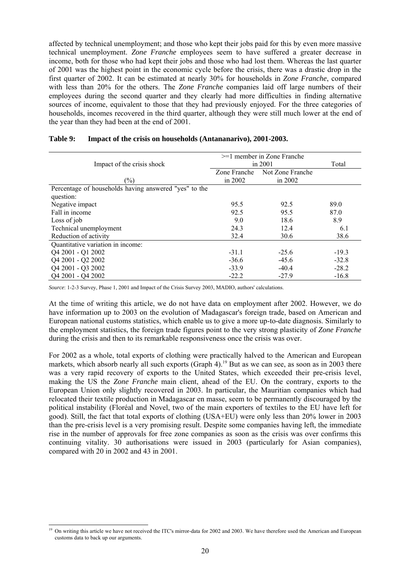affected by technical unemployment; and those who kept their jobs paid for this by even more massive technical unemployment. *Zone Franche* employees seem to have suffered a greater decrease in income, both for those who had kept their jobs and those who had lost them. Whereas the last quarter of 2001 was the highest point in the economic cycle before the crisis, there was a drastic drop in the first quarter of 2002. It can be estimated at nearly 30% for households in *Zone Franche*, compared with less than 20% for the others. The *Zone Franche* companies laid off large numbers of their employees during the second quarter and they clearly had more difficulties in finding alternative sources of income, equivalent to those that they had previously enjoyed. For the three categories of households, incomes recovered in the third quarter, although they were still much lower at the end of the year than they had been at the end of 2001.

|                                                       | $>=1$ member in Zone Franche |                  |         |
|-------------------------------------------------------|------------------------------|------------------|---------|
| Impact of the crisis shock                            | in 2001                      | Total            |         |
|                                                       | Zone Franche                 | Not Zone Franche |         |
| $\frac{1}{2}$                                         | in $2002$                    | in $2002$        |         |
| Percentage of households having answered "yes" to the |                              |                  |         |
| question:                                             |                              |                  |         |
| Negative impact                                       | 95.5                         | 92.5             | 89.0    |
| Fall in income                                        | 92.5                         | 95.5             | 87.0    |
| Loss of job                                           | 9.0                          | 18.6             | 8.9     |
| Technical unemployment                                | 24.3                         | 12.4             | 6.1     |
| Reduction of activity                                 | 32.4                         | 30.6             | 38.6    |
| Quantitative variation in income:                     |                              |                  |         |
| Q4 2001 - Q1 2002                                     | $-31.1$                      | $-25.6$          | $-19.3$ |
| Q4 2001 - Q2 2002                                     | $-36.6$                      | $-45.6$          | $-32.8$ |
| Q4 2001 - Q3 2002                                     | $-33.9$                      | $-40.4$          | $-28.2$ |
| Q4 2001 - Q4 2002                                     | $-22.2$                      | $-27.9$          | $-16.8$ |

#### **Table 9: Impact of the crisis on households (Antananarivo), 2001-2003.**

*Source*: 1-2-3 Survey, Phase 1, 2001 and Impact of the Crisis Survey 2003, MADIO, authors' calculations.

At the time of writing this article, we do not have data on employment after 2002. However, we do have information up to 2003 on the evolution of Madagascar's foreign trade, based on American and European national customs statistics, which enable us to give a more up-to-date diagnosis. Similarly to the employment statistics, the foreign trade figures point to the very strong plasticity of *Zone Franche* during the crisis and then to its remarkable responsiveness once the crisis was over.

For 2002 as a whole, total exports of clothing were practically halved to the American and European markets, which absorb nearly all such exports (Graph 4).<sup>19</sup> But as we can see, as soon as in 2003 there was a very rapid recovery of exports to the United States, which exceeded their pre-crisis level, making the US the *Zone Franche* main client, ahead of the EU. On the contrary, exports to the European Union only slightly recovered in 2003. In particular, the Mauritian companies which had relocated their textile production in Madagascar en masse, seem to be permanently discouraged by the political instability (Floréal and Novel, two of the main exporters of textiles to the EU have left for good). Still, the fact that total exports of clothing (USA+EU) were only less than 20% lower in 2003 than the pre-crisis level is a very promising result. Despite some companies having left, the immediate rise in the number of approvals for free zone companies as soon as the crisis was over confirms this continuing vitality. 30 authorisations were issued in 2003 (particularly for Asian companies), compared with 20 in 2002 and 43 in 2001.

l

<sup>&</sup>lt;sup>19</sup> On writing this article we have not received the ITC's mirror-data for 2002 and 2003. We have therefore used the American and European customs data to back up our arguments.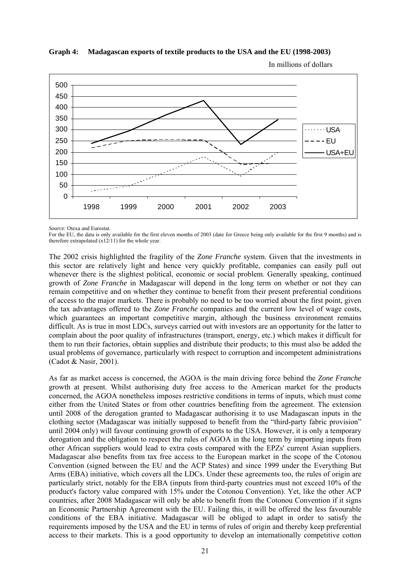

# **Graph 4: Madagascan exports of textile products to the USA and the EU (1998-2003)**

*Source*: Otexa and Eurostat.

For the EU, the data is only available for the first eleven months of 2003 (date for Greece being only available for the first 9 months) and is therefore extrapolated  $(x12/11)$  for the whole year.

The 2002 crisis highlighted the fragility of the *Zone Franche* system. Given that the investments in this sector are relatively light and hence very quickly profitable, companies can easily pull out whenever there is the slightest political, economic or social problem. Generally speaking, continued growth of *Zone Franche* in Madagascar will depend in the long term on whether or not they can remain competitive and on whether they continue to benefit from their present preferential conditions of access to the major markets. There is probably no need to be too worried about the first point, given the tax advantages offered to the *Zone Franche* companies and the current low level of wage costs, which guarantees an important competitive margin, although the business environment remains difficult. As is true in most LDCs, surveys carried out with investors are an opportunity for the latter to complain about the poor quality of infrastructures (transport, energy, etc.) which makes it difficult for them to run their factories, obtain supplies and distribute their products; to this must also be added the usual problems of governance, particularly with respect to corruption and incompetent administrations (Cadot & Nasir, 2001).

As far as market access is concerned, the AGOA is the main driving force behind the *Zone Franche* growth at present. Whilst authorising duty free access to the American market for the products concerned, the AGOA nonetheless imposes restrictive conditions in terms of inputs, which must come either from the United States or from other countries benefiting from the agreement. The extension until 2008 of the derogation granted to Madagascar authorising it to use Madagascan inputs in the clothing sector (Madagascar was initially supposed to benefit from the "third-party fabric provision" until 2004 only) will favour continuing growth of exports to the USA. However, it is only a temporary derogation and the obligation to respect the rules of AGOA in the long term by importing inputs from other African suppliers would lead to extra costs compared with the EPZs' current Asian suppliers. Madagascar also benefits from tax free access to the European market in the scope of the Cotonou Convention (signed between the EU and the ACP States) and since 1999 under the Everything But Arms (EBA) initiative, which covers all the LDCs. Under these agreements too, the rules of origin are particularly strict, notably for the EBA (inputs from third-party countries must not exceed 10% of the product's factory value compared with 15% under the Cotonou Convention). Yet, like the other ACP countries, after 2008 Madagascar will only be able to benefit from the Cotonou Convention if it signs an Economic Partnership Agreement with the EU. Failing this, it will be offered the less favourable conditions of the EBA initiative. Madagascar will be obliged to adapt in order to satisfy the requirements imposed by the USA and the EU in terms of rules of origin and thereby keep preferential access to their markets. This is a good opportunity to develop an internationally competitive cotton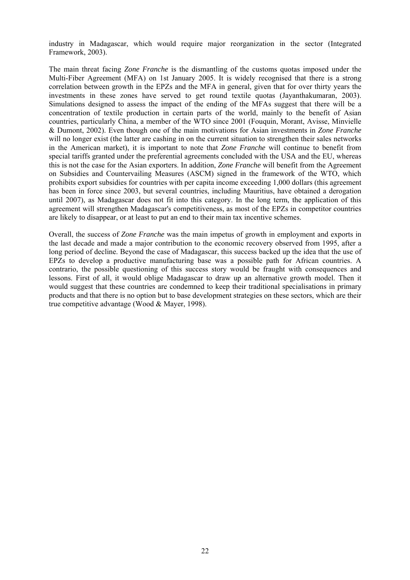industry in Madagascar, which would require major reorganization in the sector (Integrated Framework, 2003).

The main threat facing *Zone Franche* is the dismantling of the customs quotas imposed under the Multi-Fiber Agreement (MFA) on 1st January 2005. It is widely recognised that there is a strong correlation between growth in the EPZs and the MFA in general, given that for over thirty years the investments in these zones have served to get round textile quotas (Jayanthakumaran, 2003). Simulations designed to assess the impact of the ending of the MFAs suggest that there will be a concentration of textile production in certain parts of the world, mainly to the benefit of Asian countries, particularly China, a member of the WTO since 2001 (Fouquin, Morant, Avisse, Minvielle & Dumont, 2002). Even though one of the main motivations for Asian investments in *Zone Franche* will no longer exist (the latter are cashing in on the current situation to strengthen their sales networks in the American market), it is important to note that *Zone Franche* will continue to benefit from special tariffs granted under the preferential agreements concluded with the USA and the EU, whereas this is not the case for the Asian exporters. In addition, *Zone Franche* will benefit from the Agreement on Subsidies and Countervailing Measures (ASCM) signed in the framework of the WTO, which prohibits export subsidies for countries with per capita income exceeding 1,000 dollars (this agreement has been in force since 2003, but several countries, including Mauritius, have obtained a derogation until 2007), as Madagascar does not fit into this category. In the long term, the application of this agreement will strengthen Madagascar's competitiveness, as most of the EPZs in competitor countries are likely to disappear, or at least to put an end to their main tax incentive schemes.

Overall, the success of *Zone Franche* was the main impetus of growth in employment and exports in the last decade and made a major contribution to the economic recovery observed from 1995, after a long period of decline. Beyond the case of Madagascar, this success backed up the idea that the use of EPZs to develop a productive manufacturing base was a possible path for African countries. A contrario, the possible questioning of this success story would be fraught with consequences and lessons. First of all, it would oblige Madagascar to draw up an alternative growth model. Then it would suggest that these countries are condemned to keep their traditional specialisations in primary products and that there is no option but to base development strategies on these sectors, which are their true competitive advantage (Wood & Mayer, 1998).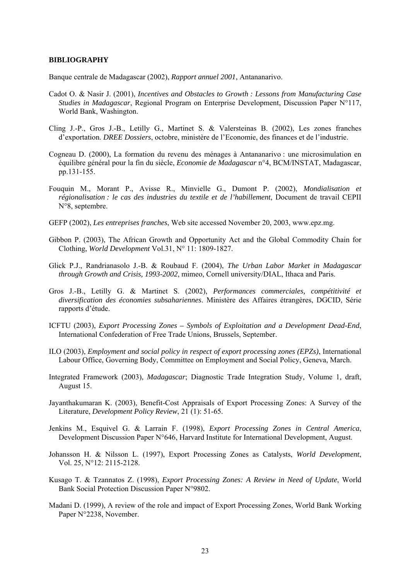#### **BIBLIOGRAPHY**

Banque centrale de Madagascar (2002), *Rapport annuel 2001*, Antananarivo.

- Cadot O. & Nasir J. (2001), *Incentives and Obstacles to Growth : Lessons from Manufacturing Case Studies in Madagascar*, Regional Program on Enterprise Development, Discussion Paper N°117, World Bank, Washington.
- Cling J.-P., Gros J.-B., Letilly G., Martinet S. & Valersteinas B. (2002), Les zones franches d'exportation. *DREE Dossiers*, octobre, ministère de l'Economie, des finances et de l'industrie.
- Cogneau D. (2000), La formation du revenu des ménages à Antananarivo : une microsimulation en équilibre général pour la fin du siècle, *Economie de Madagascar* n°4, BCM/INSTAT, Madagascar, pp.131-155.
- Fouquin M., Morant P., Avisse R., Minvielle G., Dumont P. (2002), *Mondialisation et régionalisation : le cas des industries du textile et de l'habillement*, Document de travail CEPII N°8, septembre.
- GEFP (2002), *Les entreprises franches*, Web site accessed November 20, 2003, www.epz.mg.
- Gibbon P. (2003), The African Growth and Opportunity Act and the Global Commodity Chain for Clothing, *World Development* Vol.31, N° 11: 1809-1827.
- Glick P.J., Randrianasolo J.-B. & Roubaud F. (2004), *The Urban Labor Market in Madagascar through Growth and Crisis, 1993-2002*, mimeo, Cornell university/DIAL, Ithaca and Paris.
- Gros J.-B., Letilly G. & Martinet S. (2002), *Performances commerciales, compétitivité et diversification des économies subsahariennes*. Ministère des Affaires étrangères, DGCID, Série rapports d'étude.
- ICFTU (2003), *Export Processing Zones Symbols of Exploitation and a Development Dead-End*, International Confederation of Free Trade Unions, Brussels, September.
- ILO (2003), *Employment and social policy in respect of export processing zones (EPZs)*, International Labour Office, Governing Body, Committee on Employment and Social Policy, Geneva, March.
- Integrated Framework (2003), *Madagascar*; Diagnostic Trade Integration Study, Volume 1, draft, August 15.
- Jayanthakumaran K. (2003), Benefit-Cost Appraisals of Export Processing Zones: A Survey of the Literature, *Development Policy Review*, 21 (1): 51-65.
- Jenkins M., Esquivel G. & Larrain F. (1998), *Export Processing Zones in Central America*, Development Discussion Paper N°646, Harvard Institute for International Development, August.
- Johansson H. & Nilsson L. (1997), Export Processing Zones as Catalysts, *World Development*, Vol. 25, N°12: 2115-2128.
- Kusago T. & Tzannatos Z. (1998), *Export Processing Zones: A Review in Need of Update*, World Bank Social Protection Discussion Paper N°9802.
- Madani D. (1999), A review of the role and impact of Export Processing Zones, World Bank Working Paper N°2238, November.